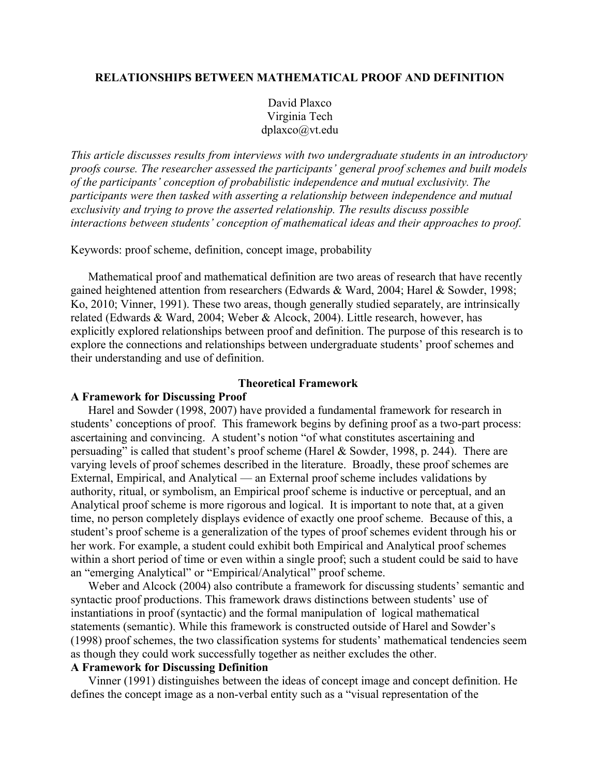# **RELATIONSHIPS BETWEEN MATHEMATICAL PROOF AND DEFINITION**

David Plaxco Virginia Tech dplaxco@vt.edu

*This article discusses results from interviews with two undergraduate students in an introductory proofs course. The researcher assessed the participants' general proof schemes and built models of the participants' conception of probabilistic independence and mutual exclusivity. The participants were then tasked with asserting a relationship between independence and mutual exclusivity and trying to prove the asserted relationship. The results discuss possible interactions between students' conception of mathematical ideas and their approaches to proof.*

Keywords: proof scheme, definition, concept image, probability

Mathematical proof and mathematical definition are two areas of research that have recently gained heightened attention from researchers (Edwards & Ward, 2004; Harel & Sowder, 1998; Ko, 2010; Vinner, 1991). These two areas, though generally studied separately, are intrinsically related (Edwards & Ward, 2004; Weber & Alcock, 2004). Little research, however, has explicitly explored relationships between proof and definition. The purpose of this research is to explore the connections and relationships between undergraduate students' proof schemes and their understanding and use of definition.

# **Theoretical Framework**

## **A Framework for Discussing Proof**

Harel and Sowder (1998, 2007) have provided a fundamental framework for research in students' conceptions of proof. This framework begins by defining proof as a two-part process: ascertaining and convincing. A student's notion "of what constitutes ascertaining and persuading" is called that student's proof scheme (Harel & Sowder, 1998, p. 244). There are varying levels of proof schemes described in the literature. Broadly, these proof schemes are External, Empirical, and Analytical — an External proof scheme includes validations by authority, ritual, or symbolism, an Empirical proof scheme is inductive or perceptual, and an Analytical proof scheme is more rigorous and logical. It is important to note that, at a given time, no person completely displays evidence of exactly one proof scheme. Because of this, a student's proof scheme is a generalization of the types of proof schemes evident through his or her work. For example, a student could exhibit both Empirical and Analytical proof schemes within a short period of time or even within a single proof; such a student could be said to have an "emerging Analytical" or "Empirical/Analytical" proof scheme.

Weber and Alcock (2004) also contribute a framework for discussing students' semantic and syntactic proof productions. This framework draws distinctions between students' use of instantiations in proof (syntactic) and the formal manipulation of logical mathematical statements (semantic). While this framework is constructed outside of Harel and Sowder's (1998) proof schemes, the two classification systems for students' mathematical tendencies seem as though they could work successfully together as neither excludes the other.

# **A Framework for Discussing Definition**

Vinner (1991) distinguishes between the ideas of concept image and concept definition. He defines the concept image as a non-verbal entity such as a "visual representation of the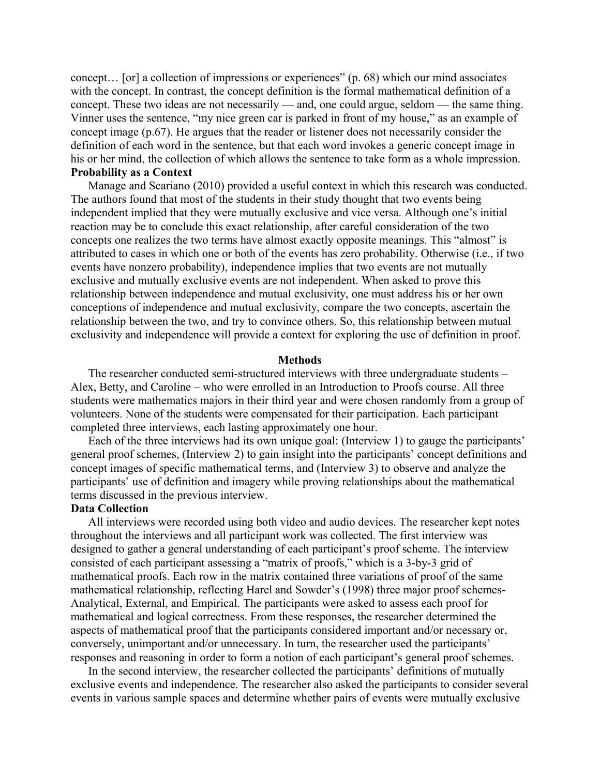concept… [or] a collection of impressions or experiences" (p. 68) which our mind associates with the concept. In contrast, the concept definition is the formal mathematical definition of a concept. These two ideas are not necessarily — and, one could argue, seldom — the same thing. Vinner uses the sentence, "my nice green car is parked in front of my house," as an example of concept image (p.67). He argues that the reader or listener does not necessarily consider the definition of each word in the sentence, but that each word invokes a generic concept image in his or her mind, the collection of which allows the sentence to take form as a whole impression. **Probability as a Context**

Manage and Scariano (2010) provided a useful context in which this research was conducted. The authors found that most of the students in their study thought that two events being independent implied that they were mutually exclusive and vice versa. Although one's initial reaction may be to conclude this exact relationship, after careful consideration of the two concepts one realizes the two terms have almost exactly opposite meanings. This "almost" is attributed to cases in which one or both of the events has zero probability. Otherwise (i.e., if two events have nonzero probability), independence implies that two events are not mutually exclusive and mutually exclusive events are not independent. When asked to prove this relationship between independence and mutual exclusivity, one must address his or her own conceptions of independence and mutual exclusivity, compare the two concepts, ascertain the relationship between the two, and try to convince others. So, this relationship between mutual exclusivity and independence will provide a context for exploring the use of definition in proof.

#### **Methods**

The researcher conducted semi-structured interviews with three undergraduate students – Alex, Betty, and Caroline – who were enrolled in an Introduction to Proofs course. All three students were mathematics majors in their third year and were chosen randomly from a group of volunteers. None of the students were compensated for their participation. Each participant completed three interviews, each lasting approximately one hour.

Each of the three interviews had its own unique goal: (Interview 1) to gauge the participants' general proof schemes, (Interview 2) to gain insight into the participants' concept definitions and concept images of specific mathematical terms, and (Interview 3) to observe and analyze the participants' use of definition and imagery while proving relationships about the mathematical terms discussed in the previous interview.

# **Data Collection**

All interviews were recorded using both video and audio devices. The researcher kept notes throughout the interviews and all participant work was collected. The first interview was designed to gather a general understanding of each participant's proof scheme. The interview consisted of each participant assessing a "matrix of proofs," which is a 3-by-3 grid of mathematical proofs. Each row in the matrix contained three variations of proof of the same mathematical relationship, reflecting Harel and Sowder's (1998) three major proof schemes-Analytical, External, and Empirical. The participants were asked to assess each proof for mathematical and logical correctness. From these responses, the researcher determined the aspects of mathematical proof that the participants considered important and/or necessary or, conversely, unimportant and/or unnecessary. In turn, the researcher used the participants' responses and reasoning in order to form a notion of each participant's general proof schemes.

In the second interview, the researcher collected the participants' definitions of mutually exclusive events and independence. The researcher also asked the participants to consider several events in various sample spaces and determine whether pairs of events were mutually exclusive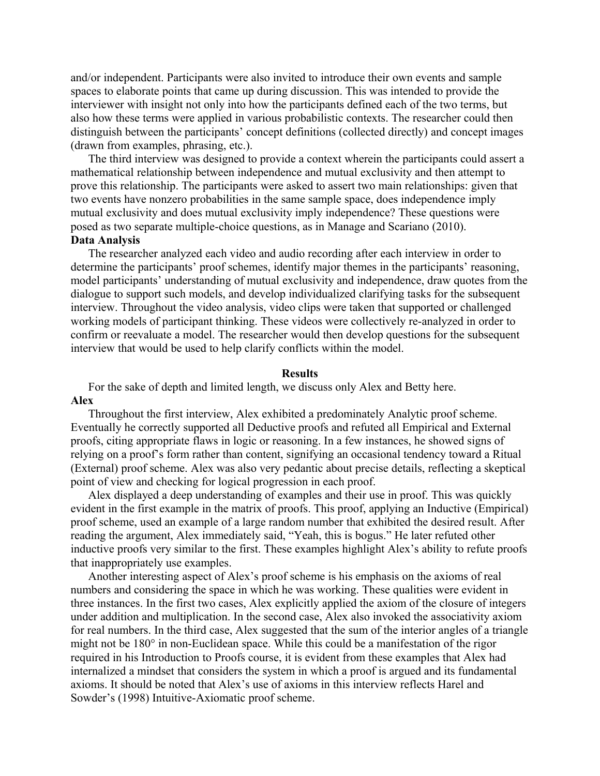and/or independent. Participants were also invited to introduce their own events and sample spaces to elaborate points that came up during discussion. This was intended to provide the interviewer with insight not only into how the participants defined each of the two terms, but also how these terms were applied in various probabilistic contexts. The researcher could then distinguish between the participants' concept definitions (collected directly) and concept images (drawn from examples, phrasing, etc.).

The third interview was designed to provide a context wherein the participants could assert a mathematical relationship between independence and mutual exclusivity and then attempt to prove this relationship. The participants were asked to assert two main relationships: given that two events have nonzero probabilities in the same sample space, does independence imply mutual exclusivity and does mutual exclusivity imply independence? These questions were posed as two separate multiple-choice questions, as in Manage and Scariano (2010). **Data Analysis**

The researcher analyzed each video and audio recording after each interview in order to determine the participants' proof schemes, identify major themes in the participants' reasoning, model participants' understanding of mutual exclusivity and independence, draw quotes from the dialogue to support such models, and develop individualized clarifying tasks for the subsequent interview. Throughout the video analysis, video clips were taken that supported or challenged working models of participant thinking. These videos were collectively re-analyzed in order to confirm or reevaluate a model. The researcher would then develop questions for the subsequent interview that would be used to help clarify conflicts within the model.

# **Results**

For the sake of depth and limited length, we discuss only Alex and Betty here. **Alex** 

Throughout the first interview, Alex exhibited a predominately Analytic proof scheme. Eventually he correctly supported all Deductive proofs and refuted all Empirical and External proofs, citing appropriate flaws in logic or reasoning. In a few instances, he showed signs of relying on a proof's form rather than content, signifying an occasional tendency toward a Ritual (External) proof scheme. Alex was also very pedantic about precise details, reflecting a skeptical point of view and checking for logical progression in each proof.

Alex displayed a deep understanding of examples and their use in proof. This was quickly evident in the first example in the matrix of proofs. This proof, applying an Inductive (Empirical) proof scheme, used an example of a large random number that exhibited the desired result. After reading the argument, Alex immediately said, "Yeah, this is bogus." He later refuted other inductive proofs very similar to the first. These examples highlight Alex's ability to refute proofs that inappropriately use examples.

Another interesting aspect of Alex's proof scheme is his emphasis on the axioms of real numbers and considering the space in which he was working. These qualities were evident in three instances. In the first two cases, Alex explicitly applied the axiom of the closure of integers under addition and multiplication. In the second case, Alex also invoked the associativity axiom for real numbers. In the third case, Alex suggested that the sum of the interior angles of a triangle might not be 180° in non-Euclidean space. While this could be a manifestation of the rigor required in his Introduction to Proofs course, it is evident from these examples that Alex had internalized a mindset that considers the system in which a proof is argued and its fundamental axioms. It should be noted that Alex's use of axioms in this interview reflects Harel and Sowder's (1998) Intuitive-Axiomatic proof scheme.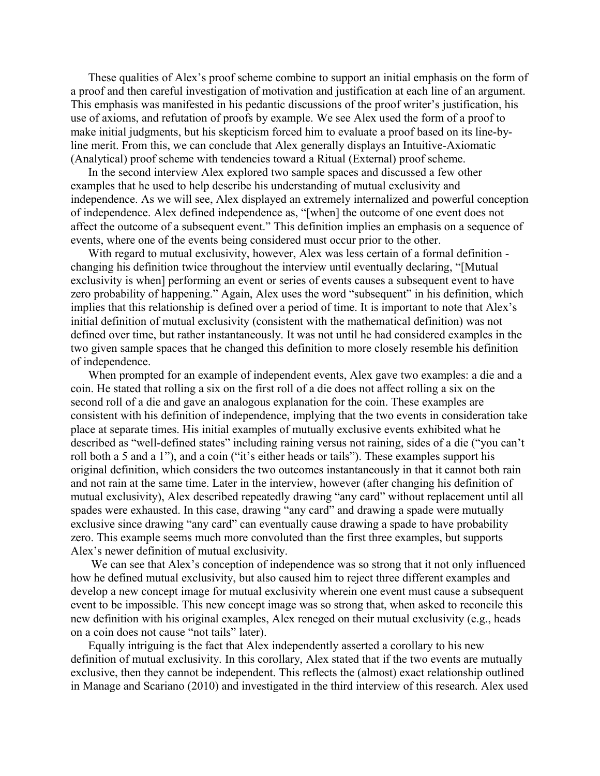These qualities of Alex's proof scheme combine to support an initial emphasis on the form of a proof and then careful investigation of motivation and justification at each line of an argument. This emphasis was manifested in his pedantic discussions of the proof writer's justification, his use of axioms, and refutation of proofs by example. We see Alex used the form of a proof to make initial judgments, but his skepticism forced him to evaluate a proof based on its line-byline merit. From this, we can conclude that Alex generally displays an Intuitive-Axiomatic (Analytical) proof scheme with tendencies toward a Ritual (External) proof scheme.

In the second interview Alex explored two sample spaces and discussed a few other examples that he used to help describe his understanding of mutual exclusivity and independence. As we will see, Alex displayed an extremely internalized and powerful conception of independence. Alex defined independence as, "[when] the outcome of one event does not affect the outcome of a subsequent event." This definition implies an emphasis on a sequence of events, where one of the events being considered must occur prior to the other.

With regard to mutual exclusivity, however, Alex was less certain of a formal definition changing his definition twice throughout the interview until eventually declaring, "[Mutual exclusivity is when] performing an event or series of events causes a subsequent event to have zero probability of happening." Again, Alex uses the word "subsequent" in his definition, which implies that this relationship is defined over a period of time. It is important to note that Alex's initial definition of mutual exclusivity (consistent with the mathematical definition) was not defined over time, but rather instantaneously. It was not until he had considered examples in the two given sample spaces that he changed this definition to more closely resemble his definition of independence.

When prompted for an example of independent events, Alex gave two examples: a die and a coin. He stated that rolling a six on the first roll of a die does not affect rolling a six on the second roll of a die and gave an analogous explanation for the coin. These examples are consistent with his definition of independence, implying that the two events in consideration take place at separate times. His initial examples of mutually exclusive events exhibited what he described as "well-defined states" including raining versus not raining, sides of a die ("you can't roll both a 5 and a 1"), and a coin ("it's either heads or tails"). These examples support his original definition, which considers the two outcomes instantaneously in that it cannot both rain and not rain at the same time. Later in the interview, however (after changing his definition of mutual exclusivity), Alex described repeatedly drawing "any card" without replacement until all spades were exhausted. In this case, drawing "any card" and drawing a spade were mutually exclusive since drawing "any card" can eventually cause drawing a spade to have probability zero. This example seems much more convoluted than the first three examples, but supports Alex's newer definition of mutual exclusivity.

 We can see that Alex's conception of independence was so strong that it not only influenced how he defined mutual exclusivity, but also caused him to reject three different examples and develop a new concept image for mutual exclusivity wherein one event must cause a subsequent event to be impossible. This new concept image was so strong that, when asked to reconcile this new definition with his original examples, Alex reneged on their mutual exclusivity (e.g., heads on a coin does not cause "not tails" later).

Equally intriguing is the fact that Alex independently asserted a corollary to his new definition of mutual exclusivity. In this corollary, Alex stated that if the two events are mutually exclusive, then they cannot be independent. This reflects the (almost) exact relationship outlined in Manage and Scariano (2010) and investigated in the third interview of this research. Alex used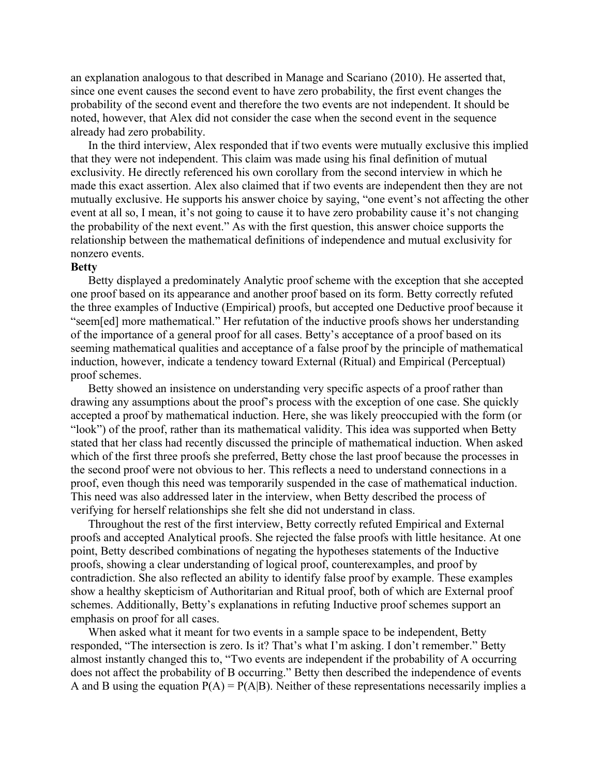an explanation analogous to that described in Manage and Scariano (2010). He asserted that, since one event causes the second event to have zero probability, the first event changes the probability of the second event and therefore the two events are not independent. It should be noted, however, that Alex did not consider the case when the second event in the sequence already had zero probability.

In the third interview, Alex responded that if two events were mutually exclusive this implied that they were not independent. This claim was made using his final definition of mutual exclusivity. He directly referenced his own corollary from the second interview in which he made this exact assertion. Alex also claimed that if two events are independent then they are not mutually exclusive. He supports his answer choice by saying, "one event's not affecting the other event at all so, I mean, it's not going to cause it to have zero probability cause it's not changing the probability of the next event." As with the first question, this answer choice supports the relationship between the mathematical definitions of independence and mutual exclusivity for nonzero events.

#### **Betty**

Betty displayed a predominately Analytic proof scheme with the exception that she accepted one proof based on its appearance and another proof based on its form. Betty correctly refuted the three examples of Inductive (Empirical) proofs, but accepted one Deductive proof because it "seem[ed] more mathematical." Her refutation of the inductive proofs shows her understanding of the importance of a general proof for all cases. Betty's acceptance of a proof based on its seeming mathematical qualities and acceptance of a false proof by the principle of mathematical induction, however, indicate a tendency toward External (Ritual) and Empirical (Perceptual) proof schemes.

Betty showed an insistence on understanding very specific aspects of a proof rather than drawing any assumptions about the proof's process with the exception of one case. She quickly accepted a proof by mathematical induction. Here, she was likely preoccupied with the form (or "look") of the proof, rather than its mathematical validity. This idea was supported when Betty stated that her class had recently discussed the principle of mathematical induction. When asked which of the first three proofs she preferred, Betty chose the last proof because the processes in the second proof were not obvious to her. This reflects a need to understand connections in a proof, even though this need was temporarily suspended in the case of mathematical induction. This need was also addressed later in the interview, when Betty described the process of verifying for herself relationships she felt she did not understand in class.

Throughout the rest of the first interview, Betty correctly refuted Empirical and External proofs and accepted Analytical proofs. She rejected the false proofs with little hesitance. At one point, Betty described combinations of negating the hypotheses statements of the Inductive proofs, showing a clear understanding of logical proof, counterexamples, and proof by contradiction. She also reflected an ability to identify false proof by example. These examples show a healthy skepticism of Authoritarian and Ritual proof, both of which are External proof schemes. Additionally, Betty's explanations in refuting Inductive proof schemes support an emphasis on proof for all cases.

When asked what it meant for two events in a sample space to be independent, Betty responded, "The intersection is zero. Is it? That's what I'm asking. I don't remember." Betty almost instantly changed this to, "Two events are independent if the probability of A occurring does not affect the probability of B occurring." Betty then described the independence of events A and B using the equation  $P(A) = P(A|B)$ . Neither of these representations necessarily implies a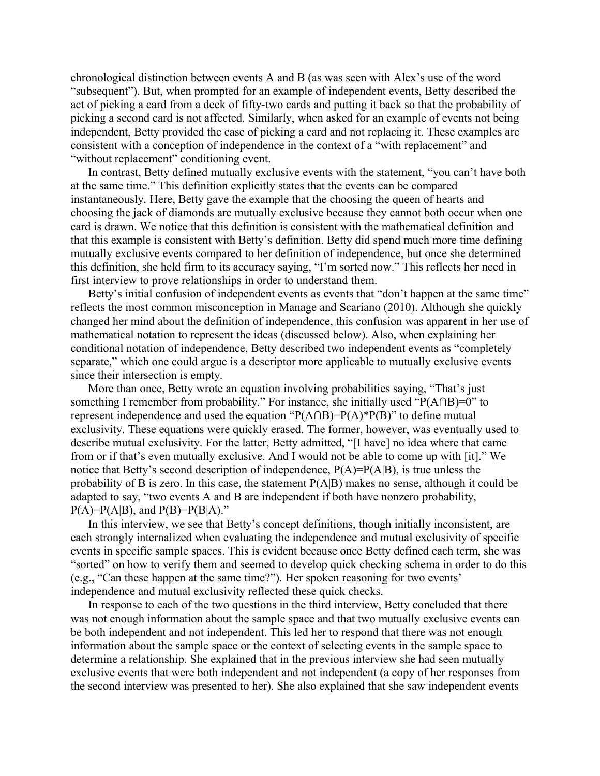chronological distinction between events A and B (as was seen with Alex's use of the word "subsequent"). But, when prompted for an example of independent events, Betty described the act of picking a card from a deck of fifty-two cards and putting it back so that the probability of picking a second card is not affected. Similarly, when asked for an example of events not being independent, Betty provided the case of picking a card and not replacing it. These examples are consistent with a conception of independence in the context of a "with replacement" and "without replacement" conditioning event.

In contrast, Betty defined mutually exclusive events with the statement, "you can't have both at the same time." This definition explicitly states that the events can be compared instantaneously. Here, Betty gave the example that the choosing the queen of hearts and choosing the jack of diamonds are mutually exclusive because they cannot both occur when one card is drawn. We notice that this definition is consistent with the mathematical definition and that this example is consistent with Betty's definition. Betty did spend much more time defining mutually exclusive events compared to her definition of independence, but once she determined this definition, she held firm to its accuracy saying, "I'm sorted now." This reflects her need in first interview to prove relationships in order to understand them.

Betty's initial confusion of independent events as events that "don't happen at the same time" reflects the most common misconception in Manage and Scariano (2010). Although she quickly changed her mind about the definition of independence, this confusion was apparent in her use of mathematical notation to represent the ideas (discussed below). Also, when explaining her conditional notation of independence, Betty described two independent events as "completely separate," which one could argue is a descriptor more applicable to mutually exclusive events since their intersection is empty.

More than once, Betty wrote an equation involving probabilities saying, "That's just something I remember from probability." For instance, she initially used "P(A∩B)=0" to represent independence and used the equation "P(A∩B)=P(A)\*P(B)" to define mutual exclusivity. These equations were quickly erased. The former, however, was eventually used to describe mutual exclusivity. For the latter, Betty admitted, "[I have] no idea where that came from or if that's even mutually exclusive. And I would not be able to come up with [it]." We notice that Betty's second description of independence,  $P(A)=P(A|B)$ , is true unless the probability of B is zero. In this case, the statement P(A|B) makes no sense, although it could be adapted to say, "two events A and B are independent if both have nonzero probability,  $P(A)=P(A|B)$ , and  $P(B)=P(B|A)$ ."

In this interview, we see that Betty's concept definitions, though initially inconsistent, are each strongly internalized when evaluating the independence and mutual exclusivity of specific events in specific sample spaces. This is evident because once Betty defined each term, she was "sorted" on how to verify them and seemed to develop quick checking schema in order to do this (e.g., "Can these happen at the same time?"). Her spoken reasoning for two events' independence and mutual exclusivity reflected these quick checks.

In response to each of the two questions in the third interview, Betty concluded that there was not enough information about the sample space and that two mutually exclusive events can be both independent and not independent. This led her to respond that there was not enough information about the sample space or the context of selecting events in the sample space to determine a relationship. She explained that in the previous interview she had seen mutually exclusive events that were both independent and not independent (a copy of her responses from the second interview was presented to her). She also explained that she saw independent events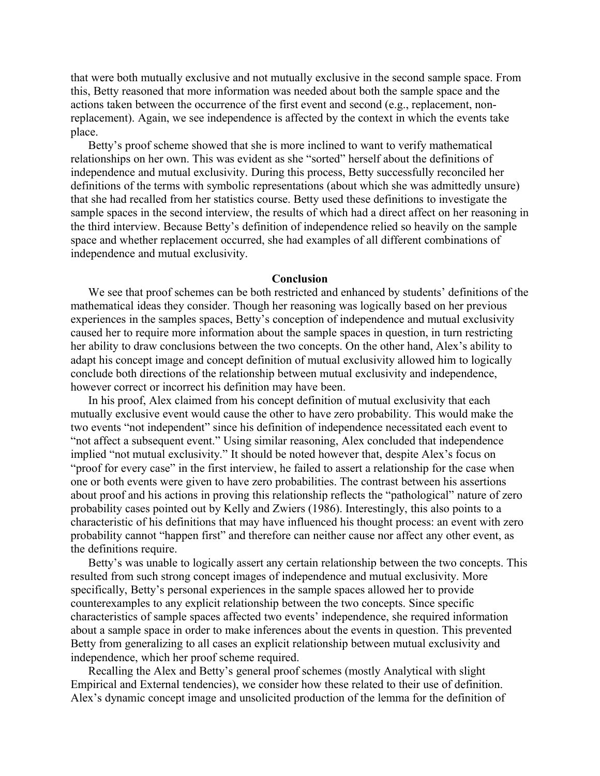that were both mutually exclusive and not mutually exclusive in the second sample space. From this, Betty reasoned that more information was needed about both the sample space and the actions taken between the occurrence of the first event and second (e.g., replacement, nonreplacement). Again, we see independence is affected by the context in which the events take place.

Betty's proof scheme showed that she is more inclined to want to verify mathematical relationships on her own. This was evident as she "sorted" herself about the definitions of independence and mutual exclusivity. During this process, Betty successfully reconciled her definitions of the terms with symbolic representations (about which she was admittedly unsure) that she had recalled from her statistics course. Betty used these definitions to investigate the sample spaces in the second interview, the results of which had a direct affect on her reasoning in the third interview. Because Betty's definition of independence relied so heavily on the sample space and whether replacement occurred, she had examples of all different combinations of independence and mutual exclusivity.

#### **Conclusion**

We see that proof schemes can be both restricted and enhanced by students' definitions of the mathematical ideas they consider. Though her reasoning was logically based on her previous experiences in the samples spaces, Betty's conception of independence and mutual exclusivity caused her to require more information about the sample spaces in question, in turn restricting her ability to draw conclusions between the two concepts. On the other hand, Alex's ability to adapt his concept image and concept definition of mutual exclusivity allowed him to logically conclude both directions of the relationship between mutual exclusivity and independence, however correct or incorrect his definition may have been.

In his proof, Alex claimed from his concept definition of mutual exclusivity that each mutually exclusive event would cause the other to have zero probability. This would make the two events "not independent" since his definition of independence necessitated each event to "not affect a subsequent event." Using similar reasoning, Alex concluded that independence implied "not mutual exclusivity." It should be noted however that, despite Alex's focus on "proof for every case" in the first interview, he failed to assert a relationship for the case when one or both events were given to have zero probabilities. The contrast between his assertions about proof and his actions in proving this relationship reflects the "pathological" nature of zero probability cases pointed out by Kelly and Zwiers (1986). Interestingly, this also points to a characteristic of his definitions that may have influenced his thought process: an event with zero probability cannot "happen first" and therefore can neither cause nor affect any other event, as the definitions require.

Betty's was unable to logically assert any certain relationship between the two concepts. This resulted from such strong concept images of independence and mutual exclusivity. More specifically, Betty's personal experiences in the sample spaces allowed her to provide counterexamples to any explicit relationship between the two concepts. Since specific characteristics of sample spaces affected two events' independence, she required information about a sample space in order to make inferences about the events in question. This prevented Betty from generalizing to all cases an explicit relationship between mutual exclusivity and independence, which her proof scheme required.

Recalling the Alex and Betty's general proof schemes (mostly Analytical with slight Empirical and External tendencies), we consider how these related to their use of definition. Alex's dynamic concept image and unsolicited production of the lemma for the definition of